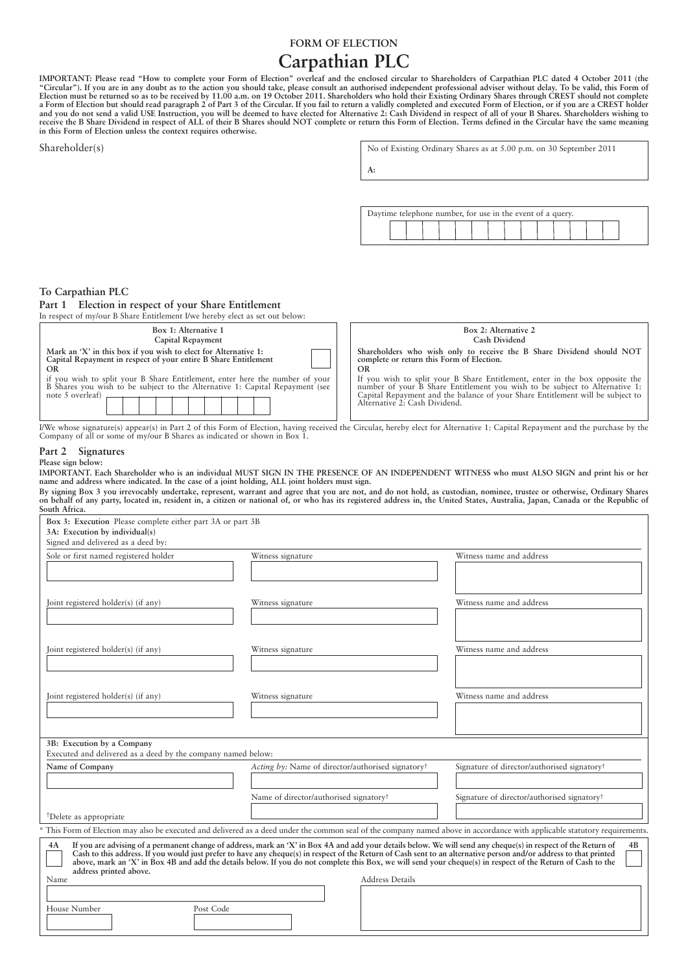## **FORM OF ELECTION**

# **Carpathian PLC**

IMPORTANT: Please read "How to complete your Form of Election" overleaf and the enclosed circular to Shareholders of Carpathian PLC dated 4 October 2011 (the<br>"Circular"). If you are in any doubt as to the action you should **in this Form of Election unless the context requires otherwise.**

| Shareholder(s)                                                                                                                                                                                | No of Existing Ordinary Shares as at 5.00 p.m. on 30 September 2011                                                                                                                                                                                                                         |
|-----------------------------------------------------------------------------------------------------------------------------------------------------------------------------------------------|---------------------------------------------------------------------------------------------------------------------------------------------------------------------------------------------------------------------------------------------------------------------------------------------|
|                                                                                                                                                                                               | A:                                                                                                                                                                                                                                                                                          |
|                                                                                                                                                                                               |                                                                                                                                                                                                                                                                                             |
|                                                                                                                                                                                               | Daytime telephone number, for use in the event of a query.                                                                                                                                                                                                                                  |
|                                                                                                                                                                                               |                                                                                                                                                                                                                                                                                             |
|                                                                                                                                                                                               |                                                                                                                                                                                                                                                                                             |
|                                                                                                                                                                                               |                                                                                                                                                                                                                                                                                             |
| To Carpathian PLC                                                                                                                                                                             |                                                                                                                                                                                                                                                                                             |
| Election in respect of your Share Entitlement<br>Part 1<br>In respect of my/our B Share Entitlement I/we hereby elect as set out below:                                                       |                                                                                                                                                                                                                                                                                             |
| Box 1: Alternative 1<br>Capital Repayment                                                                                                                                                     | Box 2: Alternative 2<br>Cash Dividend                                                                                                                                                                                                                                                       |
| Mark an 'X' in this box if you wish to elect for Alternative 1:<br>Capital Repayment in respect of your entire B Share Entitlement                                                            | Shareholders who wish only to receive the B Share Dividend should NOT<br>complete or return this Form of Election.                                                                                                                                                                          |
| <b>OR</b><br>if you wish to split your B Share Entitlement, enter here the number of your<br>B Shares you wish to be subject to the Alternative 1: Capital Repayment (see<br>note 5 overleaf) | <b>OR</b><br>If you wish to split your B Share Entitlement, enter in the box opposite the<br>number of your B Share Entitlement you wish to be subject to Alternative 1:<br>Capital Repayment and the balance of your Share Entitlement will be subject to<br>Alternative 2: Cash Dividend. |
| I/We whose signature(s) appear(s) in Part 2 of this Form of Election, having received the Circular, hereby elect for Alternative 1: Capital Repayment and the purchase by the                 |                                                                                                                                                                                                                                                                                             |

Company of all or some of my/our B Shares as indicated or shown in Box 1.

#### **Part 2 Signatures Please sign below:**

IMPORTANT. Each Shareholder who is an individual MUST SIGN IN THE PRESENCE OF AN INDEPENDENT WITNESS who must ALSO SIGN and print his or her **name and address where indicated. In the case of a joint holding, ALL joint holders must sign.**

By signing Box 3 you irrevocably undertake, represent, warrant and agree that you are not, and do not hold, as custodian, nominee, trustee or otherwise, Ordinary Shares<br>on behalf of any party, located in, resident in, a ci **South Africa.**

| Box 3: Execution Please complete either part 3A or part 3B                                 |                                                                                                                                                                                                                                                                                                                                                                                                                                                                                                                         |                                                                                                                                                                          |
|--------------------------------------------------------------------------------------------|-------------------------------------------------------------------------------------------------------------------------------------------------------------------------------------------------------------------------------------------------------------------------------------------------------------------------------------------------------------------------------------------------------------------------------------------------------------------------------------------------------------------------|--------------------------------------------------------------------------------------------------------------------------------------------------------------------------|
| 3A: Execution by individual(s)                                                             |                                                                                                                                                                                                                                                                                                                                                                                                                                                                                                                         |                                                                                                                                                                          |
| Signed and delivered as a deed by:<br>Sole or first named registered holder                | Witness signature                                                                                                                                                                                                                                                                                                                                                                                                                                                                                                       | Witness name and address                                                                                                                                                 |
|                                                                                            |                                                                                                                                                                                                                                                                                                                                                                                                                                                                                                                         |                                                                                                                                                                          |
| Joint registered holder(s) (if any)                                                        | Witness signature                                                                                                                                                                                                                                                                                                                                                                                                                                                                                                       | Witness name and address                                                                                                                                                 |
| Joint registered holder(s) (if any)                                                        | Witness signature                                                                                                                                                                                                                                                                                                                                                                                                                                                                                                       | Witness name and address                                                                                                                                                 |
| Joint registered holder(s) (if any)                                                        | Witness signature                                                                                                                                                                                                                                                                                                                                                                                                                                                                                                       | Witness name and address                                                                                                                                                 |
| 3B: Execution by a Company<br>Executed and delivered as a deed by the company named below: |                                                                                                                                                                                                                                                                                                                                                                                                                                                                                                                         |                                                                                                                                                                          |
| Name of Company                                                                            | Acting by: Name of director/authorised signatory <sup>†</sup>                                                                                                                                                                                                                                                                                                                                                                                                                                                           | Signature of director/authorised signatory <sup>†</sup>                                                                                                                  |
|                                                                                            | Name of director/authorised signatory <sup>†</sup>                                                                                                                                                                                                                                                                                                                                                                                                                                                                      | Signature of director/authorised signatory <sup>†</sup>                                                                                                                  |
| <sup>†</sup> Delete as appropriate                                                         |                                                                                                                                                                                                                                                                                                                                                                                                                                                                                                                         |                                                                                                                                                                          |
|                                                                                            |                                                                                                                                                                                                                                                                                                                                                                                                                                                                                                                         | This Form of Election may also be executed and delivered as a deed under the common seal of the company named above in accordance with applicable statutory requirements |
| 4A<br>address printed above.<br>Name                                                       | If you are advising of a permanent change of address, mark an 'X' in Box 4A and add your details below. We will send any cheque(s) in respect of the Return of<br>Cash to this address. If you would just prefer to have any cheque(s) in respect of the Return of Cash sent to an alternative person and/or address to that printed<br>above, mark an 'X' in Box 4B and add the details below. If you do not complete this Box, we will send your cheque(s) in respect of the Return of Cash to the<br>Address Details | 4B                                                                                                                                                                       |
| House Number<br>Post Code                                                                  |                                                                                                                                                                                                                                                                                                                                                                                                                                                                                                                         |                                                                                                                                                                          |